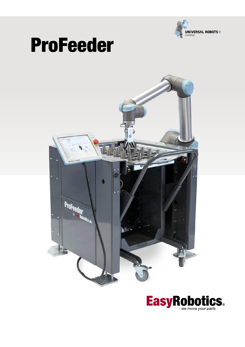

# ProFeeder



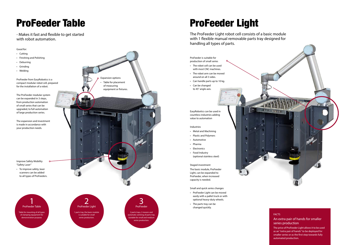#### FACTS

# An extra pair of hands for smaller series production

The price of ProFeeder Light allows it to be used as an "extra pair of hands" to be deployed for smaller series or as the first step towards fully automated production.

# ProFeeder Light

The ProFeeder Light robot cell consists of a basic module with 1 flexible manual removable parts tray designed for handling all types of parts.

# ProFeeder Table

- Makes it fast and flexible to get started with robot automation.

Good for:

- Cutting
- Finishing and Polishing
- Deburring
- Grinding
- Welding

ProFeeder from EasyRobotics is a compact modular robot cell, prepared for the installation of a robot.

ProFeeder is suitable for production of small series • The robot cell can be used with most CNC machines. • The robot arm can be moved around on all 3 sides. • Can handle parts up to 10 kg. • Can be changed to 45° angle axis. EasyRobotics can be used in countless industries adding value to automation Industries • Metal and Machining • Plastic and Polymers • Automotive • Pharma • Electronics • Food Industry (optional stainless steel) Staged investment The basic module, ProFeeder Light, can be expanded to ProFeeder, when increased capacity is needed.

The ProFeeder modular system can be expanded in 3 steps, from production automation of small series that can be upgraded, to full automation of large production series.

The expansion and investment is made in accordance with your production needs.



2 ProFeeder Light 1 parts tray, the basic module is suitable for small series production.





## Small and quick series changes

- ProFeeder Light can be moved easily with a pallet truck or with optional heavy-duty wheels.
- The parts tray can be changed quickly.



Improve Safety Mobility "Safety Laser"

• To improve safety, laser scanners can be added to all types of ProFeeders.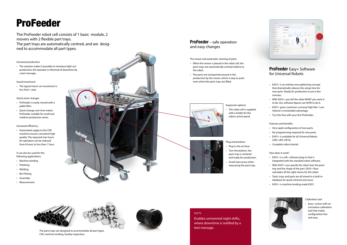# ProFeeder

The ProFeeder robot cell consists of 1 basic module, 2 movers with 2 flexible part trays. The part trays are automatically centred, and are desig ned to accommodate all part types.

# **ProFeeder** – safe operation and easy changes

Calibration tool

• Easy+ comes with an innovative calibration tool that makes configuration fast and easy.

# Increased production

• The solution makes it possible to introduce light out production; the operator is informed of downtime by a text message.

## Good investment

• The typical return on investment is less than 1 year.

### Quick series changes

- ProFeeder is easily moved with a pallet lifter.
- Quick change over time makes ProFeeder suitable for small and medium production series.

# Increased efficiency

• Automated supply to the CNC machine ensures consistent high quality. The required man hours for operation can be reduced from 8 hours to less than 1 hour.

It can also be used for the following applications:

- Machine tending
- Polishing
- Welding
- Bin Picking
- Assembly
- Measurement



The mover and automatic centring of parts

- When the mover is placed in the robot cell, the parts trays are automatically centred relative to the robot.
- The parts are transported around in the production by the mover, which is easy to push even when the parts trays are filled.



# FACTS

Enables unmanned night shifts, where downtime is notified by a text message.





The parts trays are designed to accommodate all part types. CNC machine tending. Quality inspection.



# **ProFeeder** Easy+ Software for Universal Robots

- EASY+ is an entirely new palletising concept that dramatically reduces the setup-time for new parts. Ready for production in just a few minutes.
- With EASY+ you tell the robot WHAT you want it to do. Our software figures out HOW to do it.
- EASY+ gives customers running 'High Mix / Low Volume' a remarkable advantage.
- Try it for free with your first ProFeeder.

## Features and benefits

- Very rapid configuration of new parts.
- No programming required for new parts.
- EASY+ is available for all Universal Robots (UR3, UR5, UR10).
- Complete video tutorial.

## How does it work?

- EASY+ is a UR+ software plug-in that is integrated with the standard robot software.
- With EASY+ you specify the robot tool, the parts tray and the shape of the part. EASY+ then calculates all the right moves for the robot.
- Tools, trays and parts are all stored in a built-in database for quick retrieval and reuse.
- EASY+ is machine tending made EASY.



#### Expansion options

• The robot cell is supplied with a holder for the robot control panel.



- Plug and produce • Plug in the air hose.
- Turn the bottom, the parts tray is centered
- and ready for production. • Avoid inaccuracy when measuring the parts top.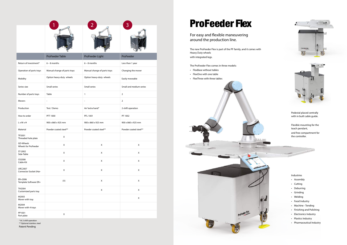|                                          |                              |                              | 3                       |
|------------------------------------------|------------------------------|------------------------------|-------------------------|
|                                          |                              |                              |                         |
|                                          | <b>ProFeeder Table</b>       | ProFeeder Light              | ProFeeder               |
| Return of investment*                    | $6 - 8$ months               | $6 - 8$ months               | Less than 1 year        |
| Operation of parts trays                 | Manual change of parts trays | Manual change of parts trays | Changing the mover      |
| Mobility                                 | Option heavy-duty wheels     | Option heavy-duty wheels     | Easily moveable         |
| Series size                              | Small series                 | <b>Small series</b>          | Small and medium series |
| Number of parts trays                    | Table                        | $\mathbf{1}$                 | $\overline{2}$          |
| Movers                                   | $\overline{\phantom{a}}$     | $\overline{\phantom{a}}$     | $\overline{2}$          |
| Production                               | Test / Demo                  | An "extra hand"              | 2-shift operation       |
| How to order                             | PFT 1000                     | PFL 1001                     | PF 1002                 |
| L x W x H                                | 900 x 860 x 925 mm           | 900 x 860 x 925 mm           | 900 x 860 x 925 mm      |
| Material                                 | Powder coated steel**        | Powder coated steel**        | Powder coated steel**   |
| TP2001<br>Threaded hole plate            | X                            |                              |                         |
| GD-Wheels<br>Wheels for ProFeeder        | X                            | X                            | $\mathsf X$             |
| ST-2002<br>Side-Table                    | $\mathsf X$                  | $\mathsf X$                  | $\mathsf X$             |
| CK2008<br>Cable-Kit                      | $\mathsf X$                  | $\mathsf X$                  | $\mathsf X$             |
| <b>URC2007</b><br>Connector Socket (Har- | $\mathsf X$                  | $\mathsf X$                  | $\mathsf X$             |
| ER+2006<br>Template Software ER+         | (X)                          | $\mathsf X$                  | $\mathsf X$             |
| TH2004<br>Customized parts tray          |                              | $\mathsf X$                  | $\mathsf X$             |
| M2003<br>Mover with tray                 |                              |                              | $\mathsf X$             |
| M2004<br>Mover with 4 trays              |                              |                              |                         |
| PP1001<br>Part plate                     | $\mathsf X$                  |                              |                         |

\* At 2-shift operation \*\* Optional stainless steel

Patent Pending

# **ProFeeder Flex**

For easy and flexible maneuvering around the production line.

The new ProFeeder Flex is part of the PF family, and it comes with Heavy Duty wheels with integrated legs.

# The ProFeeder Flex comes in three models:

- FlexBase without tables
- FlexOne with one table
- FlexThree with three tables







Pedestal placed centrally with in built cable guide.

Flexible mounting for the teach pendant, and free compartment for the controller.

a de la de

Industries

- Assembly
- Cutting
- Deburring
- Grinding
- Welding
- Food Industry
- Machine Tending
- Finishing and Polishing
- Electronics Industry
- Plastics Industry
- Pharmaceutical Industry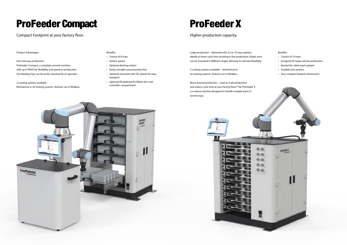# ProFeeder Compact

Compact Footprint at your factory floor.

# ProFeeder X

# Higher production capacity.

Product Advantages:

### Fast and easy production

ProFeeder Compact, a complete console machine with up 6 TRAYS for flexibility and speed on production. The feeding trays can be easily unlocked by an operator.

## 2 Locking systems available

Mechanical or Air locking systems. Airlocks run in Modbus.

Large production – delivered with 2,5 or 10 trays options ideally to lower cycle time resulting in fast production. Robot arms can be mounted in different angles allowing its ultimate flexibility.

2 Locking systems available – Mechanical or Air locking systems. Airlocks run in Modbus.

Move around production – want to scale production and reduce cycle time at your factory floor? The ProFeeder X is a robust machine designed to handle multiple parts in several trays.





#### Benefits:

- Consist of 6 trays
- Airlock system
- Optional docking station
- Easily movable around production
- Optional mounted with GD wheels for easy transport
- Optional ER pedestal for Robot Arm and controller compartment

# Benefits:

- Consist of 10 trays
- Designed for large volume production
- Bracket for robot teach pedant
- Scalable tray systems
- Very compact footprint dimensions